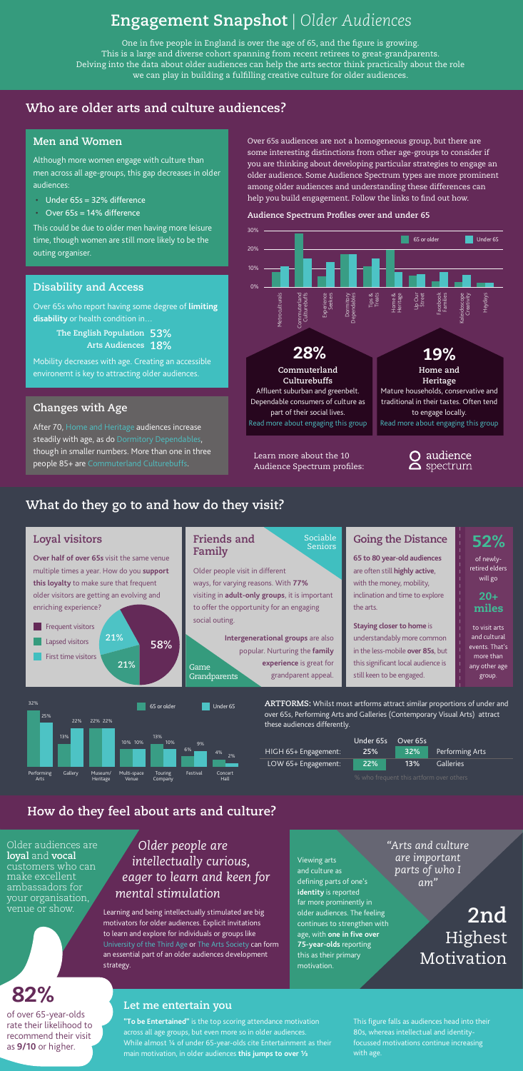|                      | Under 65s Over 65s |     |                  |
|----------------------|--------------------|-----|------------------|
| HIGH 65+ Engagement: | <b>25%</b>         | 32% | Performing       |
| LOW 65+ Engagement:  | 22%                | 13% | <b>Galleries</b> |

**ARTFORMS:** Whilst most artforms attract similar proportions of under and over 65s, Performing Arts and Galleries (Contemporary Visual Arts) attract these audiences differently.

#### **Disability and Access**

Over 65s who report having some degree of **limiting disability** or health condition in…

Mobility decreases with age. Creating an accessible environemt is key to attracting older audiences.

**The English Population 53% Arts Audiences 18%**

# **Engagement Snapshot** *| Older Audiences*

## **Who are older arts and culture audiences?**

## **What do they go to and how do they visit?**

## **How do they feel about arts and culture?**

**2nd** Highest Motivation

*Older people are intellectually curious, eager to learn and keen for mental stimulation*

*"Arts and culture are important parts of who I am"*



One in five people in England is over the age of 65, and the figure is growing. This is a large and diverse cohort spanning from recent retirees to great-grandparents. Delving into the data about older audiences can help the arts sector think practically about the role we can play in building a fulfilling creative culture for older audiences.

> **Intergenerational groups** are also popular. Nurturing the **family experience** is great for grandparent appeal. **Grandparents**

Over 65s audiences are not a homogeneous group, but there are some interesting distinctions from other age-groups to consider if you are thinking about developing particular strategies to engage an older audience. Some Audience Spectrum types are more prominent among older audiences and understanding these differences can help you build engagement. Follow the links to find out how.

#### **Audience Spectrum Profiles over and under 65**

### **Men and Women**

Although more women engage with culture than men across all age-groups, this gap decreases in older audiences:

- Under 65s = 32% difference
- Over 65s = 14% difference

venue or show. Learning and being intellectually stimulated are big motivators for older audiences. Explicit invitations to learn and explore for individuals or groups like [University of the Third Age](https://www.u3a.org.uk/) or [The Arts Society](https://theartssociety.org/) can form an essential part of an older audiences development strategy.

This could be due to older men having more leisure time, though women are still more likely to be the outing organiser.

### **Changes with Age**

After 70, [Home and Heritage](https://www.theaudienceagency.org/audience-spectrum/home-and-heritage) audiences increase steadily with age, as do [Dormitory Dependables,](https://www.theaudienceagency.org/products/audience-spectrum/dormitory-dependables) though in smaller numbers. More than one in three people 85+ are [Commuterland Culturebuffs](https://www.theaudienceagency.org/audience-spectrum/commuterland-culturebuffs).

#### **Loyal visitors**

**Over half of over 65s** visit the same venue multiple times a year. How do you **support this loyalty** to make sure that frequent older visitors are getting an evolving and enriching experience?

#### **Friends and Family**

Older people visit in different ways, for varying reasons. With **77%** visiting in **adult-only groups**, it is important to offer the opportunity for an engaging social outing.

## **Going the Distance**

**65 to 80 year-old audiences** are often still **highly active**, with the money, mobility, inclination and time to explore the arts.

**Staying closer to home** is understandably more common in the less-mobile **over 85s**, but this significant local audience is still keen to be engaged.

Game

Sociable Seniors

> of newlyretired elders will go

to visit arts and cultural events. That's more than any other age

group.

52%

Arts

20+

#### Older audiences are **loyal** and **vocal** customers who can make excellent ambassadors for your organisation,

This figure falls as audiences head into their 80s, whereas intellectual and identityfocussed motivations continue increasing with age.

#### **Let me entertain you**

**"To be Entertained"** is the top scoring attendance motivation across all age groups, but even more so in older audiences. While almost 1/4 of under 65-year-olds cite Entertainment as their main motivation, in older audiences **this jumps to over ⅓**

of over 65-year-olds rate their likelihood to recommend their visit as **9/10** or higher.

# 82%

Viewing arts and culture as defining parts of one's **identity** is reported far more prominently in older audiences. The feeling continues to strengthen with age, with **one in five over 75-year-olds** reporting this as their primary motivation.